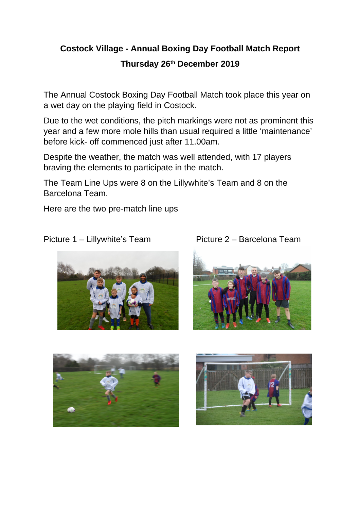## **Costock Village - Annual Boxing Day Football Match Report Thursday 26th December 2019**

The Annual Costock Boxing Day Football Match took place this year on a wet day on the playing field in Costock.

Due to the wet conditions, the pitch markings were not as prominent this year and a few more mole hills than usual required a little 'maintenance' before kick- off commenced just after 11.00am.

Despite the weather, the match was well attended, with 17 players braving the elements to participate in the match.

The Team Line Ups were 8 on the Lillywhite's Team and 8 on the Barcelona Team.

Here are the two pre-match line ups









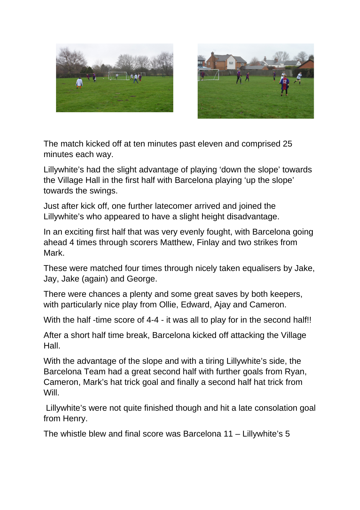



The match kicked off at ten minutes past eleven and comprised 25 minutes each way.

Lillywhite's had the slight advantage of playing 'down the slope' towards the Village Hall in the first half with Barcelona playing 'up the slope' towards the swings.

Just after kick off, one further latecomer arrived and joined the Lillywhite's who appeared to have a slight height disadvantage.

In an exciting first half that was very evenly fought, with Barcelona going ahead 4 times through scorers Matthew, Finlay and two strikes from Mark.

These were matched four times through nicely taken equalisers by Jake, Jay, Jake (again) and George.

There were chances a plenty and some great saves by both keepers, with particularly nice play from Ollie, Edward, Ajay and Cameron.

With the half -time score of 4-4 - it was all to play for in the second half!!

After a short half time break, Barcelona kicked off attacking the Village Hall.

With the advantage of the slope and with a tiring Lillywhite's side, the Barcelona Team had a great second half with further goals from Ryan, Cameron, Mark's hat trick goal and finally a second half hat trick from Will.

 Lillywhite's were not quite finished though and hit a late consolation goal from Henry.

The whistle blew and final score was Barcelona 11 – Lillywhite's 5